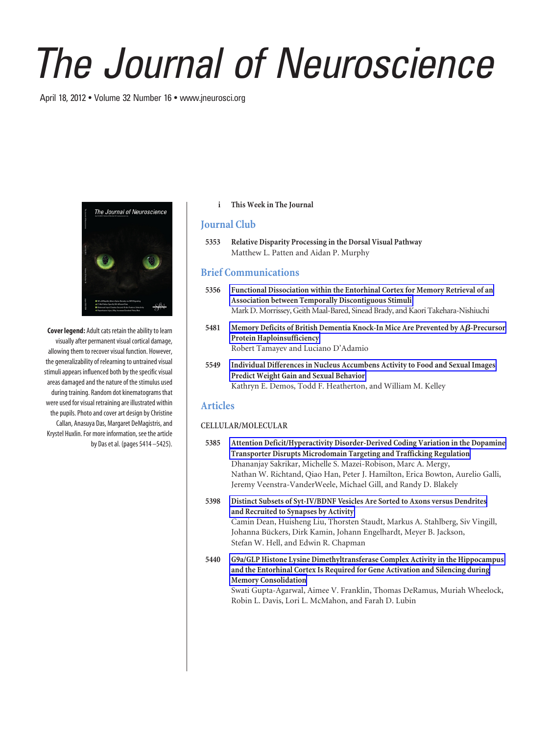# *The Journal of Neuroscience*

April 18, 2012 • Volume 32 Number 16 • www.jneurosci.org



**Cover legend:** Adult cats retain the ability to learn visually after permanent visual cortical damage, allowing them to recover visual function. However, the generalizability of relearning to untrained visual stimuli appears influenced both by the specific visual areas damaged and the nature of the stimulus used during training. Random dot kinematograms that were used for visual retraining are illustrated within the pupils. Photo and cover art design by Christine Callan, Anasuya Das, Margaret DeMagistris, and Krystel Huxlin. For more information, see the article by Das et al. (pages 5414 –5425).

### **i This Week in The Journal**

## **Journal Club**

**5353 Relative Disparity Processing in the Dorsal Visual Pathway** Matthew L. Patten and Aidan P. Murphy

# **Brief Communications**

- **5356 Functional Dissociation within the Entorhinal Cortex for Memory Retrieval of an Association between Temporally Discontiguous Stimuli** Mark D. Morrissey, Geith Maal-Bared, Sinead Brady, and Kaori Takehara-Nishiuchi
- 5481 Memory Deficits of British Dementia Knock-In Mice Are Prevented by A*ß*-Precursor **Protein Haploinsufficiency** Robert Tamayev and Luciano D'Adamio
- **5549 Individual Differences in Nucleus Accumbens Activity to Food and Sexual Images Predict Weight Gain and Sexual Behavior** Kathryn E. Demos, Todd F. Heatherton, and William M. Kelley

## **Articles**

### **CELLULAR/MOLECULAR**

- **5385 Attention Deficit/Hyperactivity Disorder-Derived Coding Variation in the Dopamine Transporter Disrupts Microdomain Targeting and Trafficking Regulation** Dhananjay Sakrikar, Michelle S. Mazei-Robison, Marc A. Mergy, Nathan W. Richtand, Qiao Han, Peter J. Hamilton, Erica Bowton, Aurelio Galli, Jeremy Veenstra-VanderWeele, Michael Gill, and Randy D. Blakely
- **5398 Distinct Subsets of Syt-IV/BDNF Vesicles Are Sorted to Axons versus Dendrites and Recruited to Synapses by Activity** Camin Dean, Huisheng Liu, Thorsten Staudt, Markus A. Stahlberg, Siv Vingill, Johanna Bückers, Dirk Kamin, Johann Engelhardt, Meyer B. Jackson, Stefan W. Hell, and Edwin R. Chapman
- **5440 G9a/GLP Histone Lysine Dimethyltransferase Complex Activity in the Hippocampus and the Entorhinal Cortex Is Required for Gene Activation and Silencing during Memory Consolidation** Swati Gupta-Agarwal, Aimee V. Franklin, Thomas DeRamus, Muriah Wheelock,

Robin L. Davis, Lori L. McMahon, and Farah D. Lubin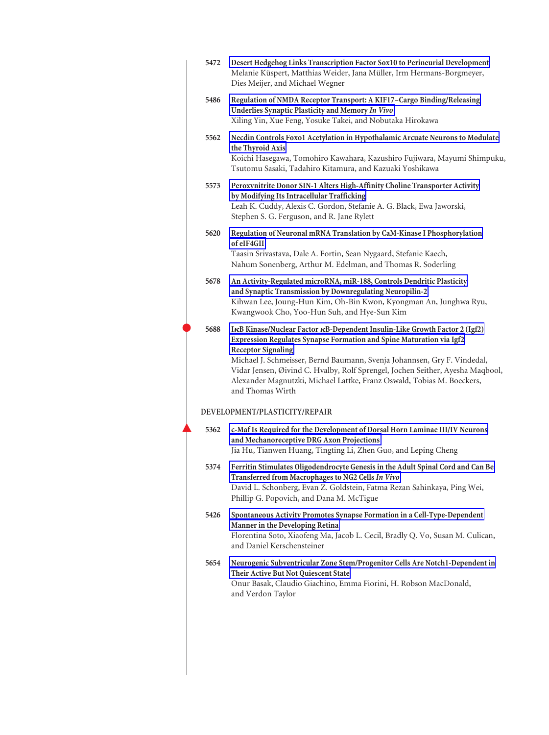| 5472 | Desert Hedgehog Links Transcription Factor Sox10 to Perineurial Development<br>Melanie Küspert, Matthias Weider, Jana Müller, Irm Hermans-Borgmeyer,<br>Dies Meijer, and Michael Wegner                                                                                                                                                                                                                                                     |
|------|---------------------------------------------------------------------------------------------------------------------------------------------------------------------------------------------------------------------------------------------------------------------------------------------------------------------------------------------------------------------------------------------------------------------------------------------|
| 5486 | Regulation of NMDA Receptor Transport: A KIF17-Cargo Binding/Releasing<br>Underlies Synaptic Plasticity and Memory In Vivo<br>Xiling Yin, Xue Feng, Yosuke Takei, and Nobutaka Hirokawa                                                                                                                                                                                                                                                     |
| 5562 | Necdin Controls Foxo1 Acetylation in Hypothalamic Arcuate Neurons to Modulate<br>the Thyroid Axis<br>Koichi Hasegawa, Tomohiro Kawahara, Kazushiro Fujiwara, Mayumi Shimpuku,<br>Tsutomu Sasaki, Tadahiro Kitamura, and Kazuaki Yoshikawa                                                                                                                                                                                                   |
| 5573 | Peroxynitrite Donor SIN-1 Alters High-Affinity Choline Transporter Activity<br>by Modifying Its Intracellular Trafficking<br>Leah K. Cuddy, Alexis C. Gordon, Stefanie A. G. Black, Ewa Jaworski,<br>Stephen S. G. Ferguson, and R. Jane Rylett                                                                                                                                                                                             |
| 5620 | Regulation of Neuronal mRNA Translation by CaM-Kinase I Phosphorylation<br>of eIF4GII<br>Taasin Srivastava, Dale A. Fortin, Sean Nygaard, Stefanie Kaech,<br>Nahum Sonenberg, Arthur M. Edelman, and Thomas R. Soderling                                                                                                                                                                                                                    |
| 5678 | An Activity-Regulated microRNA, miR-188, Controls Dendritic Plasticity<br>and Synaptic Transmission by Downregulating Neuropilin-2<br>Kihwan Lee, Joung-Hun Kim, Oh-Bin Kwon, Kyongman An, Junghwa Ryu,<br>Kwangwook Cho, Yoo-Hun Suh, and Hye-Sun Kim                                                                                                                                                                                      |
| 5688 | IKB Kinase/Nuclear Factor KB-Dependent Insulin-Like Growth Factor 2 (Igf2)<br>Expression Regulates Synapse Formation and Spine Maturation via Igf2<br><b>Receptor Signaling</b><br>Michael J. Schmeisser, Bernd Baumann, Svenja Johannsen, Gry F. Vindedal,<br>Vidar Jensen, Øivind C. Hvalby, Rolf Sprengel, Jochen Seither, Ayesha Maqbool,<br>Alexander Magnutzki, Michael Lattke, Franz Oswald, Tobias M. Boeckers,<br>and Thomas Wirth |
|      | DEVELOPMENT/PLASTICITY/REPAIR                                                                                                                                                                                                                                                                                                                                                                                                               |
| 5362 | c-Maf Is Required for the Development of Dorsal Horn Laminae III/IV Neurons<br>and Mechanoreceptive DRG Axon Projections<br>Jia Hu, Tianwen Huang, Tingting Li, Zhen Guo, and Leping Cheng                                                                                                                                                                                                                                                  |
| 5374 | Ferritin Stimulates Oligodendrocyte Genesis in the Adult Spinal Cord and Can Be<br>Transferred from Macrophages to NG2 Cells In Vivo<br>David L. Schonberg, Evan Z. Goldstein, Fatma Rezan Sahinkaya, Ping Wei,<br>Phillip G. Popovich, and Dana M. McTigue                                                                                                                                                                                 |
| 5426 | Spontaneous Activity Promotes Synapse Formation in a Cell-Type-Dependent<br>Manner in the Developing Retina<br>Florentina Soto, Xiaofeng Ma, Jacob L. Cecil, Bradly Q. Vo, Susan M. Culican,<br>and Daniel Kerschensteiner                                                                                                                                                                                                                  |
| 5654 | Neurogenic Subventricular Zone Stem/Progenitor Cells Are Notch1-Dependent in<br>Their Active But Not Quiescent State<br>Onur Basak, Claudio Giachino, Emma Fiorini, H. Robson MacDonald,<br>and Verdon Taylor                                                                                                                                                                                                                               |
|      |                                                                                                                                                                                                                                                                                                                                                                                                                                             |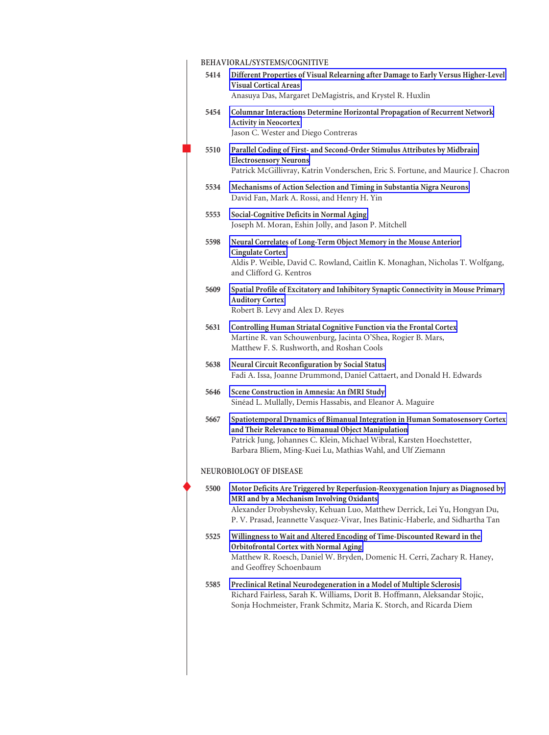|                                | BEHAVIORAL/SYSTEMS/COGNITIVE |                                                                                                                                                                                                                                                                                             |  |
|--------------------------------|------------------------------|---------------------------------------------------------------------------------------------------------------------------------------------------------------------------------------------------------------------------------------------------------------------------------------------|--|
|                                | 5414                         | Different Properties of Visual Relearning after Damage to Early Versus Higher-Level<br><b>Visual Cortical Areas</b><br>Anasuya Das, Margaret DeMagistris, and Krystel R. Huxlin                                                                                                             |  |
|                                | 5454                         | Columnar Interactions Determine Horizontal Propagation of Recurrent Network<br><b>Activity in Neocortex</b><br>Jason C. Wester and Diego Contreras                                                                                                                                          |  |
|                                | 5510                         | Parallel Coding of First- and Second-Order Stimulus Attributes by Midbrain<br><b>Electrosensory Neurons</b><br>Patrick McGillivray, Katrin Vonderschen, Eric S. Fortune, and Maurice J. Chacron                                                                                             |  |
|                                | 5534                         | Mechanisms of Action Selection and Timing in Substantia Nigra Neurons<br>David Fan, Mark A. Rossi, and Henry H. Yin                                                                                                                                                                         |  |
|                                | 5553                         | Social-Cognitive Deficits in Normal Aging<br>Joseph M. Moran, Eshin Jolly, and Jason P. Mitchell                                                                                                                                                                                            |  |
|                                | 5598                         | Neural Correlates of Long-Term Object Memory in the Mouse Anterior<br><b>Cingulate Cortex</b><br>Aldis P. Weible, David C. Rowland, Caitlin K. Monaghan, Nicholas T. Wolfgang,<br>and Clifford G. Kentros                                                                                   |  |
|                                | 5609                         | Spatial Profile of Excitatory and Inhibitory Synaptic Connectivity in Mouse Primary<br><b>Auditory Cortex</b><br>Robert B. Levy and Alex D. Reyes                                                                                                                                           |  |
|                                | 5631                         | Controlling Human Striatal Cognitive Function via the Frontal Cortex<br>Martine R. van Schouwenburg, Jacinta O'Shea, Rogier B. Mars,<br>Matthew F. S. Rushworth, and Roshan Cools                                                                                                           |  |
|                                | 5638                         | <b>Neural Circuit Reconfiguration by Social Status</b><br>Fadi A. Issa, Joanne Drummond, Daniel Cattaert, and Donald H. Edwards                                                                                                                                                             |  |
|                                | 5646                         | Scene Construction in Amnesia: An fMRI Study<br>Sinéad L. Mullally, Demis Hassabis, and Eleanor A. Maguire                                                                                                                                                                                  |  |
|                                | 5667                         | Spatiotemporal Dynamics of Bimanual Integration in Human Somatosensory Cortex<br>and Their Relevance to Bimanual Object Manipulation<br>Patrick Jung, Johannes C. Klein, Michael Wibral, Karsten Hoechstetter,<br>Barbara Bliem, Ming-Kuei Lu, Mathias Wahl, and Ulf Ziemann                |  |
| <b>NEUROBIOLOGY OF DISEASE</b> |                              |                                                                                                                                                                                                                                                                                             |  |
|                                | 5500                         | Motor Deficits Are Triggered by Reperfusion-Reoxygenation Injury as Diagnosed by<br>MRI and by a Mechanism Involving Oxidants<br>Alexander Drobyshevsky, Kehuan Luo, Matthew Derrick, Lei Yu, Hongyan Du,<br>P. V. Prasad, Jeannette Vasquez-Vivar, Ines Batinic-Haberle, and Sidhartha Tan |  |
|                                | 5525                         | Willingness to Wait and Altered Encoding of Time-Discounted Reward in the<br><b>Orbitofrontal Cortex with Normal Aging</b><br>Matthew R. Roesch, Daniel W. Bryden, Domenic H. Cerri, Zachary R. Haney,<br>and Geoffrey Schoenbaum                                                           |  |
|                                | 5585                         | Preclinical Retinal Neurodegeneration in a Model of Multiple Sclerosis<br>Richard Fairless, Sarah K. Williams, Dorit B. Hoffmann, Aleksandar Stojic,<br>Sonja Hochmeister, Frank Schmitz, Maria K. Storch, and Ricarda Diem                                                                 |  |
|                                |                              |                                                                                                                                                                                                                                                                                             |  |